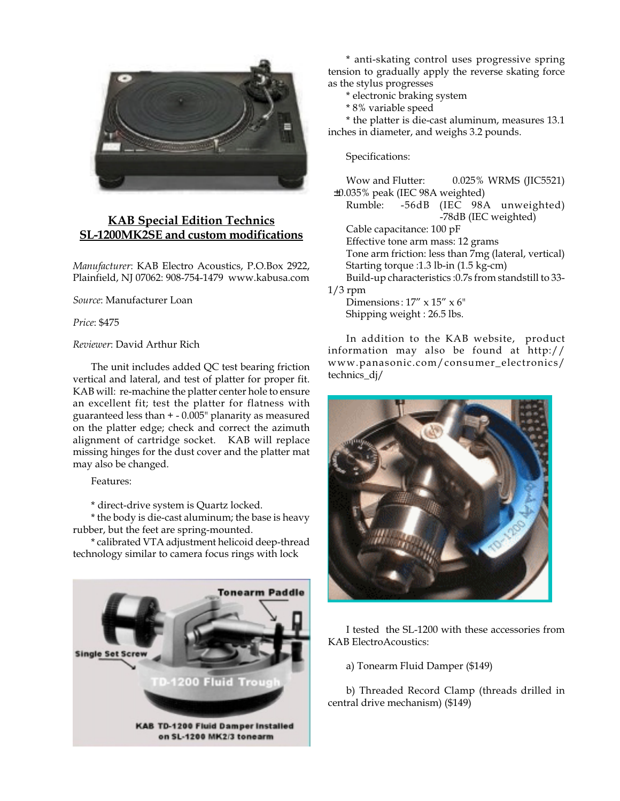

## **KAB Special Edition Technics SL-1200MK2SE and custom modifications**

*Manufacturer*: KAB Electro Acoustics, P.O.Box 2922, Plainfield, NJ 07062: 908-754-1479 www.kabusa.com

*Source*: Manufacturer Loan

*Price*: \$475

## *Reviewer*: David Arthur Rich

The unit includes added QC test bearing friction vertical and lateral, and test of platter for proper fit. KAB will: re-machine the platter center hole to ensure an excellent fit; test the platter for flatness with guaranteed less than + - 0.005" planarity as measured on the platter edge; check and correct the azimuth alignment of cartridge socket. KAB will replace missing hinges for the dust cover and the platter mat may also be changed.

Features:

\* direct-drive system is Quartz locked.

\* the body is die-cast aluminum; the base is heavy rubber, but the feet are spring-mounted.

\* calibrated VTA adjustment helicoid deep-thread technology similar to camera focus rings with lock



\* anti-skating control uses progressive spring tension to gradually apply the reverse skating force as the stylus progresses

- \* electronic braking system
- \* 8% variable speed

\* the platter is die-cast aluminum, measures 13.1 inches in diameter, and weighs 3.2 pounds.

Specifications:

Wow and Flutter: 0.025% WRMS (JIC5521) ±0.035% peak (IEC 98A weighted) Rumble: -56dB (IEC 98A unweighted) -78dB (IEC weighted) Cable capacitance: 100 pF Effective tone arm mass: 12 grams Tone arm friction: less than 7mg (lateral, vertical) Starting torque :1.3 lb-in (1.5 kg-cm) Build-up characteristics :0.7s from standstill to 33-  $1/3$  rpm Dimensions:  $17'' \times 15'' \times 6''$ 

Shipping weight : 26.5 lbs.

In addition to the KAB website, product information may also be found at http:// www.panasonic.com/consumer\_electronics/ technics\_dj/



I tested the SL-1200 with these accessories from KAB ElectroAcoustics:

a) Tonearm Fluid Damper (\$149)

b) Threaded Record Clamp (threads drilled in central drive mechanism) (\$149)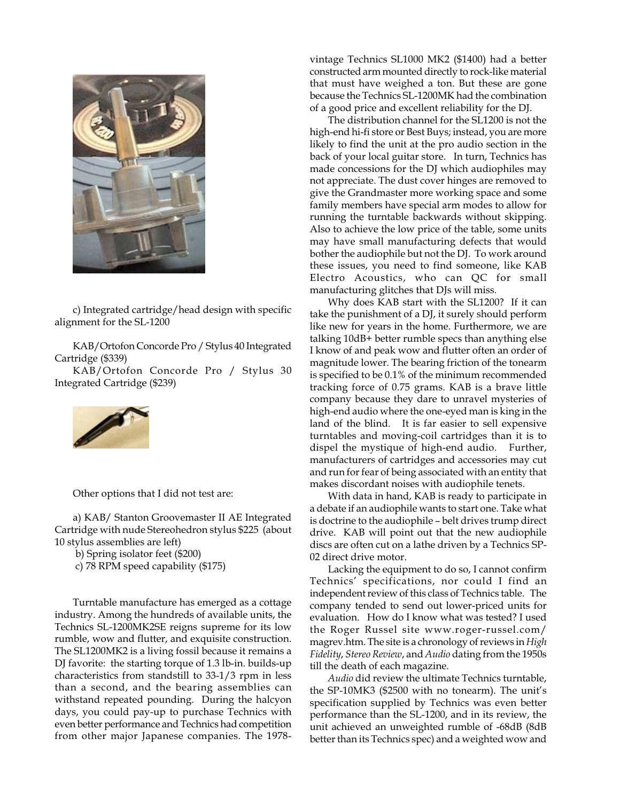

c) Integrated cartridge/head design with specific alignment for the SL-1200

KAB/Ortofon Concorde Pro / Stylus 40 Integrated Cartridge (\$339)

KAB/Ortofon Concorde Pro / Stylus 30 Integrated Cartridge (\$239)



Other options that I did not test are:

a) KAB/ Stanton Groovemaster II AE Integrated Cartridge with nude Stereohedron stylus \$225 (about 10 stylus assemblies are left)

b) Spring isolator feet (\$200)

c) 78 RPM speed capability (\$175)

Turntable manufacture has emerged as a cottage industry. Among the hundreds of available units, the Technics SL-1200MK2SE reigns supreme for its low rumble, wow and flutter, and exquisite construction. The SL1200MK2 is a living fossil because it remains a DJ favorite: the starting torque of 1.3 lb-in. builds-up characteristics from standstill to 33-1/3 rpm in less than a second, and the bearing assemblies can withstand repeated pounding. During the halcyon days, you could pay-up to purchase Technics with even better performance and Technics had competition from other major Japanese companies. The 1978vintage Technics SL1000 MK2 (\$1400) had a better constructed arm mounted directly to rock-like material that must have weighed a ton. But these are gone because the Technics SL-1200MK had the combination of a good price and excellent reliability for the DJ.

The distribution channel for the SL1200 is not the high-end hi-fi store or Best Buys; instead, you are more likely to find the unit at the pro audio section in the back of your local guitar store. In turn, Technics has made concessions for the DJ which audiophiles may not appreciate. The dust cover hinges are removed to give the Grandmaster more working space and some family members have special arm modes to allow for running the turntable backwards without skipping. Also to achieve the low price of the table, some units may have small manufacturing defects that would bother the audiophile but not the DJ. To work around these issues, you need to find someone, like KAB Electro Acoustics, who can QC for small manufacturing glitches that DJs will miss.

Why does KAB start with the SL1200? If it can take the punishment of a DJ, it surely should perform like new for years in the home. Furthermore, we are talking 10dB+ better rumble specs than anything else I know of and peak wow and flutter often an order of magnitude lower. The bearing friction of the tonearm is specified to be 0.1% of the minimum recommended tracking force of 0.75 grams. KAB is a brave little company because they dare to unravel mysteries of high-end audio where the one-eyed man is king in the land of the blind. It is far easier to sell expensive turntables and moving-coil cartridges than it is to dispel the mystique of high-end audio. Further, manufacturers of cartridges and accessories may cut and run for fear of being associated with an entity that makes discordant noises with audiophile tenets.

With data in hand, KAB is ready to participate in a debate if an audiophile wants to start one. Take what is doctrine to the audiophile – belt drives trump direct drive. KAB will point out that the new audiophile discs are often cut on a lathe driven by a Technics SP-02 direct drive motor.

Lacking the equipment to do so, I cannot confirm Technics' specifications, nor could I find an independent review of this class of Technics table. The company tended to send out lower-priced units for evaluation. How do I know what was tested? I used the Roger Russel site www.roger-russel.com/ magrev.htm. The site is a chronology of reviews in *High Fidelity*, *Stereo Review*, and *Audio* dating from the 1950s till the death of each magazine.

*Audio* did review the ultimate Technics turntable, the SP-10MK3 (\$2500 with no tonearm). The unit's specification supplied by Technics was even better performance than the SL-1200, and in its review, the unit achieved an unweighted rumble of -68dB (8dB better than its Technics spec) and a weighted wow and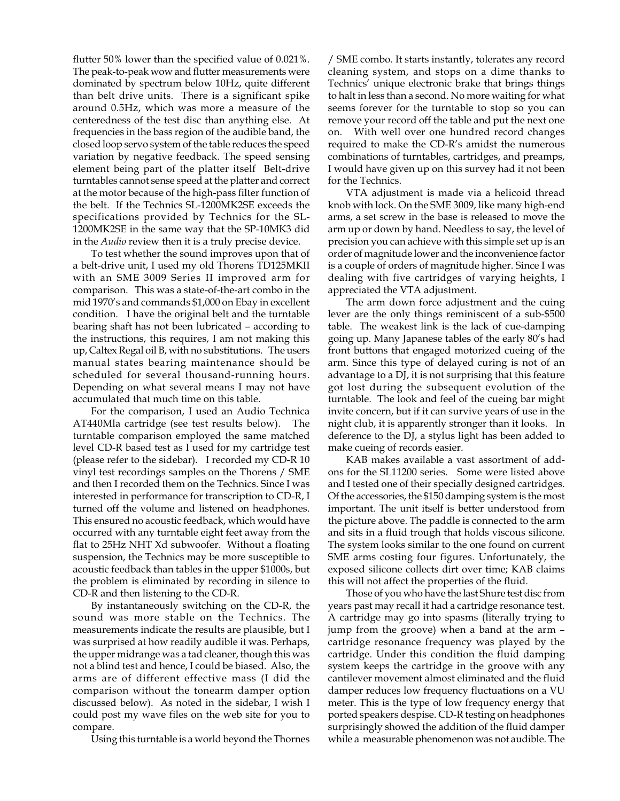flutter 50% lower than the specified value of 0.021%. The peak-to-peak wow and flutter measurements were dominated by spectrum below 10Hz, quite different than belt drive units. There is a significant spike around 0.5Hz, which was more a measure of the centeredness of the test disc than anything else. At frequencies in the bass region of the audible band, the closed loop servo system of the table reduces the speed variation by negative feedback. The speed sensing element being part of the platter itself Belt-drive turntables cannot sense speed at the platter and correct at the motor because of the high-pass filter function of the belt. If the Technics SL-1200MK2SE exceeds the specifications provided by Technics for the SL-1200MK2SE in the same way that the SP-10MK3 did in the *Audio* review then it is a truly precise device.

To test whether the sound improves upon that of a belt-drive unit, I used my old Thorens TD125MKII with an SME 3009 Series II improved arm for comparison. This was a state-of-the-art combo in the mid 1970's and commands \$1,000 on Ebay in excellent condition. I have the original belt and the turntable bearing shaft has not been lubricated – according to the instructions, this requires, I am not making this up, Caltex Regal oil B, with no substitutions. The users manual states bearing maintenance should be scheduled for several thousand-running hours. Depending on what several means I may not have accumulated that much time on this table.

For the comparison, I used an Audio Technica AT440Mla cartridge (see test results below). The turntable comparison employed the same matched level CD-R based test as I used for my cartridge test (please refer to the sidebar). I recorded my CD-R 10 vinyl test recordings samples on the Thorens / SME and then I recorded them on the Technics. Since I was interested in performance for transcription to CD-R, I turned off the volume and listened on headphones. This ensured no acoustic feedback, which would have occurred with any turntable eight feet away from the flat to 25Hz NHT Xd subwoofer. Without a floating suspension, the Technics may be more susceptible to acoustic feedback than tables in the upper \$1000s, but the problem is eliminated by recording in silence to CD-R and then listening to the CD-R.

By instantaneously switching on the CD-R, the sound was more stable on the Technics. The measurements indicate the results are plausible, but I was surprised at how readily audible it was. Perhaps, the upper midrange was a tad cleaner, though this was not a blind test and hence, I could be biased. Also, the arms are of different effective mass (I did the comparison without the tonearm damper option discussed below). As noted in the sidebar, I wish I could post my wave files on the web site for you to compare.

Using this turntable is a world beyond the Thornes

/ SME combo. It starts instantly, tolerates any record cleaning system, and stops on a dime thanks to Technics' unique electronic brake that brings things to halt in less than a second. No more waiting for what seems forever for the turntable to stop so you can remove your record off the table and put the next one on. With well over one hundred record changes required to make the CD-R's amidst the numerous combinations of turntables, cartridges, and preamps, I would have given up on this survey had it not been for the Technics.

VTA adjustment is made via a helicoid thread knob with lock. On the SME 3009, like many high-end arms, a set screw in the base is released to move the arm up or down by hand. Needless to say, the level of precision you can achieve with this simple set up is an order of magnitude lower and the inconvenience factor is a couple of orders of magnitude higher. Since I was dealing with five cartridges of varying heights, I appreciated the VTA adjustment.

The arm down force adjustment and the cuing lever are the only things reminiscent of a sub-\$500 table. The weakest link is the lack of cue-damping going up. Many Japanese tables of the early 80's had front buttons that engaged motorized cueing of the arm. Since this type of delayed curing is not of an advantage to a DJ, it is not surprising that this feature got lost during the subsequent evolution of the turntable. The look and feel of the cueing bar might invite concern, but if it can survive years of use in the night club, it is apparently stronger than it looks. In deference to the DJ, a stylus light has been added to make cueing of records easier.

KAB makes available a vast assortment of addons for the SL11200 series. Some were listed above and I tested one of their specially designed cartridges. Of the accessories, the \$150 damping system is the most important. The unit itself is better understood from the picture above. The paddle is connected to the arm and sits in a fluid trough that holds viscous silicone. The system looks similar to the one found on current SME arms costing four figures. Unfortunately, the exposed silicone collects dirt over time; KAB claims this will not affect the properties of the fluid.

Those of you who have the last Shure test disc from years past may recall it had a cartridge resonance test. A cartridge may go into spasms (literally trying to jump from the groove) when a band at the arm – cartridge resonance frequency was played by the cartridge. Under this condition the fluid damping system keeps the cartridge in the groove with any cantilever movement almost eliminated and the fluid damper reduces low frequency fluctuations on a VU meter. This is the type of low frequency energy that ported speakers despise. CD-R testing on headphones surprisingly showed the addition of the fluid damper while a measurable phenomenon was not audible. The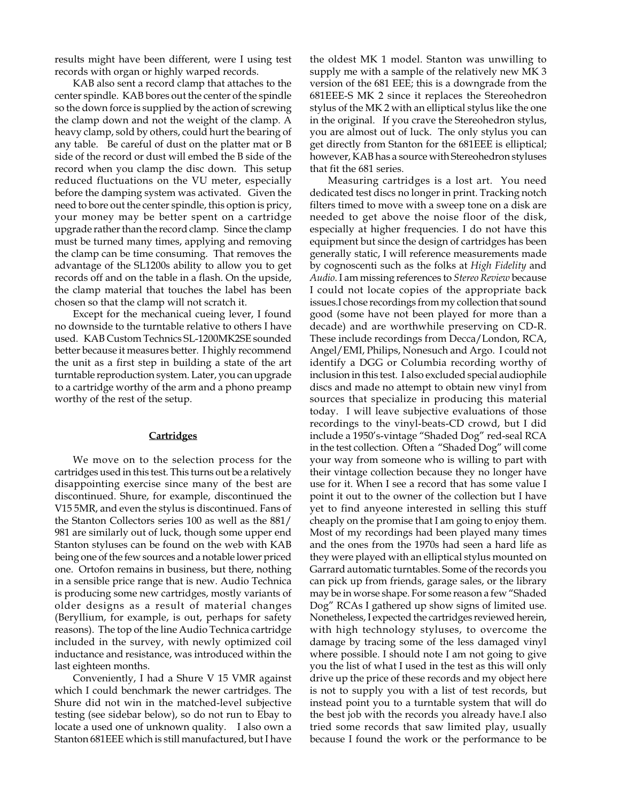results might have been different, were I using test records with organ or highly warped records.

KAB also sent a record clamp that attaches to the center spindle. KAB bores out the center of the spindle so the down force is supplied by the action of screwing the clamp down and not the weight of the clamp. A heavy clamp, sold by others, could hurt the bearing of any table. Be careful of dust on the platter mat or B side of the record or dust will embed the B side of the record when you clamp the disc down. This setup reduced fluctuations on the VU meter, especially before the damping system was activated. Given the need to bore out the center spindle, this option is pricy, your money may be better spent on a cartridge upgrade rather than the record clamp. Since the clamp must be turned many times, applying and removing the clamp can be time consuming. That removes the advantage of the SL1200s ability to allow you to get records off and on the table in a flash. On the upside, the clamp material that touches the label has been chosen so that the clamp will not scratch it.

Except for the mechanical cueing lever, I found no downside to the turntable relative to others I have used. KAB Custom Technics SL-1200MK2SE sounded better because it measures better. I highly recommend the unit as a first step in building a state of the art turntable reproduction system. Later, you can upgrade to a cartridge worthy of the arm and a phono preamp worthy of the rest of the setup.

## **Cartridges**

We move on to the selection process for the cartridges used in this test. This turns out be a relatively disappointing exercise since many of the best are discontinued. Shure, for example, discontinued the V15 5MR, and even the stylus is discontinued. Fans of the Stanton Collectors series 100 as well as the 881/ 981 are similarly out of luck, though some upper end Stanton styluses can be found on the web with KAB being one of the few sources and a notable lower priced one. Ortofon remains in business, but there, nothing in a sensible price range that is new. Audio Technica is producing some new cartridges, mostly variants of older designs as a result of material changes (Beryllium, for example, is out, perhaps for safety reasons). The top of the line Audio Technica cartridge included in the survey, with newly optimized coil inductance and resistance, was introduced within the last eighteen months.

Conveniently, I had a Shure V 15 VMR against which I could benchmark the newer cartridges. The Shure did not win in the matched-level subjective testing (see sidebar below), so do not run to Ebay to locate a used one of unknown quality. I also own a Stanton 681EEE which is still manufactured, but I have

the oldest MK 1 model. Stanton was unwilling to supply me with a sample of the relatively new MK 3 version of the 681 EEE; this is a downgrade from the 681EEE-S MK 2 since it replaces the Stereohedron stylus of the MK 2 with an elliptical stylus like the one in the original. If you crave the Stereohedron stylus, you are almost out of luck. The only stylus you can get directly from Stanton for the 681EEE is elliptical; however, KAB has a source with Stereohedron styluses that fit the 681 series.

Measuring cartridges is a lost art. You need dedicated test discs no longer in print. Tracking notch filters timed to move with a sweep tone on a disk are needed to get above the noise floor of the disk, especially at higher frequencies. I do not have this equipment but since the design of cartridges has been generally static, I will reference measurements made by cognoscenti such as the folks at *High Fidelity* and *Audio*. I am missing references to *Stereo Review* because I could not locate copies of the appropriate back issues.I chose recordings from my collection that sound good (some have not been played for more than a decade) and are worthwhile preserving on CD-R. These include recordings from Decca/London, RCA, Angel/EMI, Philips, Nonesuch and Argo. I could not identify a DGG or Columbia recording worthy of inclusion in this test. I also excluded special audiophile discs and made no attempt to obtain new vinyl from sources that specialize in producing this material today. I will leave subjective evaluations of those recordings to the vinyl-beats-CD crowd, but I did include a 1950's-vintage "Shaded Dog" red-seal RCA in the test collection. Often a "Shaded Dog" will come your way from someone who is willing to part with their vintage collection because they no longer have use for it. When I see a record that has some value I point it out to the owner of the collection but I have yet to find anyeone interested in selling this stuff cheaply on the promise that I am going to enjoy them. Most of my recordings had been played many times and the ones from the 1970s had seen a hard life as they were played with an elliptical stylus mounted on Garrard automatic turntables. Some of the records you can pick up from friends, garage sales, or the library may be in worse shape. For some reason a few "Shaded Dog" RCAs I gathered up show signs of limited use. Nonetheless, I expected the cartridges reviewed herein, with high technology styluses, to overcome the damage by tracing some of the less damaged vinyl where possible. I should note I am not going to give you the list of what I used in the test as this will only drive up the price of these records and my object here is not to supply you with a list of test records, but instead point you to a turntable system that will do the best job with the records you already have.I also tried some records that saw limited play, usually because I found the work or the performance to be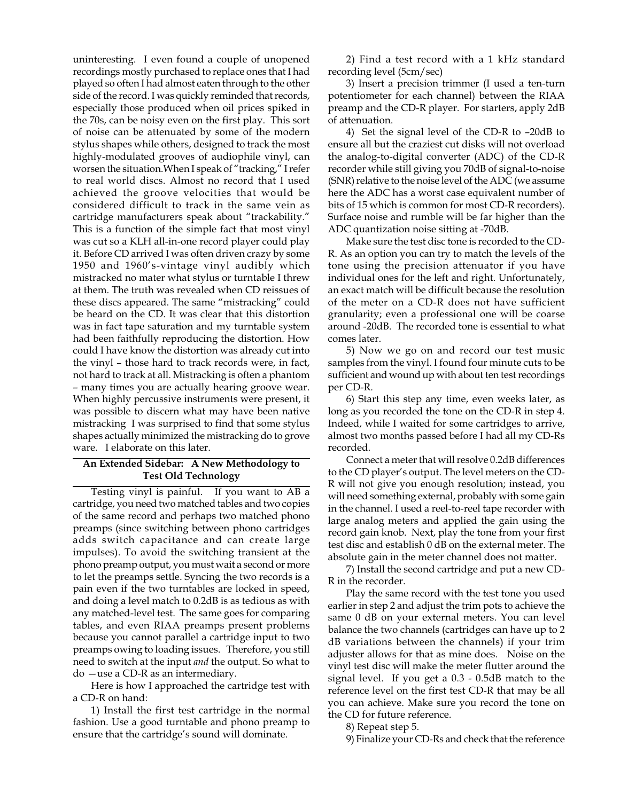uninteresting. I even found a couple of unopened recordings mostly purchased to replace ones that I had played so often I had almost eaten through to the other side of the record. I was quickly reminded that records, especially those produced when oil prices spiked in the 70s, can be noisy even on the first play. This sort of noise can be attenuated by some of the modern stylus shapes while others, designed to track the most highly-modulated grooves of audiophile vinyl, can worsen the situation.When I speak of "tracking," I refer to real world discs. Almost no record that I used achieved the groove velocities that would be considered difficult to track in the same vein as cartridge manufacturers speak about "trackability." This is a function of the simple fact that most vinyl was cut so a KLH all-in-one record player could play it. Before CD arrived I was often driven crazy by some 1950 and 1960's-vintage vinyl audibly which mistracked no mater what stylus or turntable I threw at them. The truth was revealed when CD reissues of these discs appeared. The same "mistracking" could be heard on the CD. It was clear that this distortion was in fact tape saturation and my turntable system had been faithfully reproducing the distortion. How could I have know the distortion was already cut into the vinyl – those hard to track records were, in fact, not hard to track at all. Mistracking is often a phantom – many times you are actually hearing groove wear. When highly percussive instruments were present, it was possible to discern what may have been native mistracking I was surprised to find that some stylus shapes actually minimized the mistracking do to grove ware. I elaborate on this later.

## **An Extended Sidebar: A New Methodology to Test Old Technology**

Testing vinyl is painful. If you want to AB a cartridge, you need two matched tables and two copies of the same record and perhaps two matched phono preamps (since switching between phono cartridges adds switch capacitance and can create large impulses). To avoid the switching transient at the phono preamp output, you must wait a second or more to let the preamps settle. Syncing the two records is a pain even if the two turntables are locked in speed, and doing a level match to 0.2dB is as tedious as with any matched-level test. The same goes for comparing tables, and even RIAA preamps present problems because you cannot parallel a cartridge input to two preamps owing to loading issues. Therefore, you still need to switch at the input *and* the output. So what to do —use a CD-R as an intermediary.

Here is how I approached the cartridge test with a CD-R on hand:

1) Install the first test cartridge in the normal fashion. Use a good turntable and phono preamp to ensure that the cartridge's sound will dominate.

2) Find a test record with a 1 kHz standard recording level (5cm/sec)

3) Insert a precision trimmer (I used a ten-turn potentiometer for each channel) between the RIAA preamp and the CD-R player. For starters, apply 2dB of attenuation.

4) Set the signal level of the CD-R to –20dB to ensure all but the craziest cut disks will not overload the analog-to-digital converter (ADC) of the CD-R recorder while still giving you 70dB of signal-to-noise (SNR) relative to the noise level of the ADC (we assume here the ADC has a worst case equivalent number of bits of 15 which is common for most CD-R recorders). Surface noise and rumble will be far higher than the ADC quantization noise sitting at -70dB.

Make sure the test disc tone is recorded to the CD-R. As an option you can try to match the levels of the tone using the precision attenuator if you have individual ones for the left and right. Unfortunately, an exact match will be difficult because the resolution of the meter on a CD-R does not have sufficient granularity; even a professional one will be coarse around -20dB. The recorded tone is essential to what comes later.

5) Now we go on and record our test music samples from the vinyl. I found four minute cuts to be sufficient and wound up with about ten test recordings per CD-R.

6) Start this step any time, even weeks later, as long as you recorded the tone on the CD-R in step 4. Indeed, while I waited for some cartridges to arrive, almost two months passed before I had all my CD-Rs recorded.

Connect a meter that will resolve 0.2dB differences to the CD player's output. The level meters on the CD-R will not give you enough resolution; instead, you will need something external, probably with some gain in the channel. I used a reel-to-reel tape recorder with large analog meters and applied the gain using the record gain knob. Next, play the tone from your first test disc and establish 0 dB on the external meter. The absolute gain in the meter channel does not matter.

7) Install the second cartridge and put a new CD-R in the recorder.

Play the same record with the test tone you used earlier in step 2 and adjust the trim pots to achieve the same 0 dB on your external meters. You can level balance the two channels (cartridges can have up to 2 dB variations between the channels) if your trim adjuster allows for that as mine does. Noise on the vinyl test disc will make the meter flutter around the signal level. If you get a 0.3 - 0.5dB match to the reference level on the first test CD-R that may be all you can achieve. Make sure you record the tone on the CD for future reference.

8) Repeat step 5.

9) Finalize your CD-Rs and check that the reference